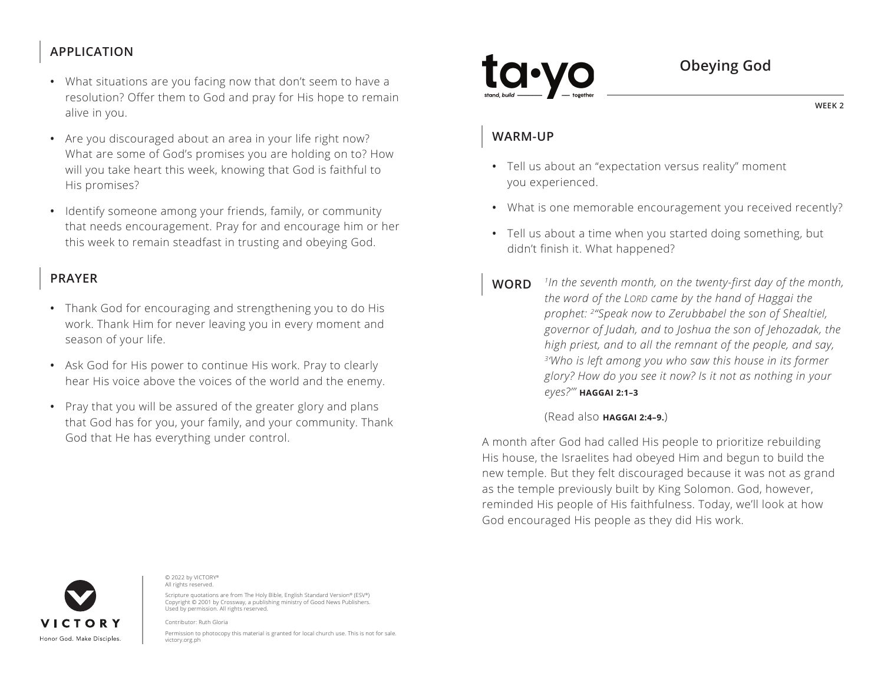# **APPLICATION**

- What situations are you facing now that don't seem to have a resolution? Offer them to God and pray for His hope to remain alive in you.
- Are you discouraged about an area in your life right now? What are some of God's promises you are holding on to? How will you take heart this week, knowing that God is faithful to His promises?
- Identify someone among your friends, family, or community that needs encouragement. Pray for and encourage him or her this week to remain steadfast in trusting and obeying God.

## **PRAYER**

- Thank God for encouraging and strengthening you to do His work. Thank Him for never leaving you in every moment and season of your life.
- Ask God for His power to continue His work. Pray to clearly hear His voice above the voices of the world and the enemy.
- Pray that you will be assured of the greater glory and plans that God has for you, your family, and your community. Thank God that He has everything under control.

**Obeying God**

**WEEK 2**

## **WARM-UP**

- Tell us about an "expectation versus reality" moment you experienced.
- What is one memorable encouragement you received recently?
- Tell us about a time when you started doing something, but didn't finish it. What happened?
- **WORD** *1In the seventh month, on the twenty-first day of the month, the word of the LORD came by the hand of Haggai the prophet: 2"Speak now to Zerubbabel the son of Shealtiel, governor of Judah, and to Joshua the son of Jehozadak, the high priest, and to all the remnant of the people, and say, 3'Who is left among you who saw this house in its former glory? How do you see it now? Is it not as nothing in your eyes?'" ^***HAGGAI 2:1–3**

### (Read also **^HAGGAI 2:4–9.**)

A month after God had called His people to prioritize rebuilding His house, the Israelites had obeyed Him and begun to build the new temple. But they felt discouraged because it was not as grand as the temple previously built by King Solomon. God, however, reminded His people of His faithfulness. Today, we'll look at how God encouraged His people as they did His work.



© 2022 by VICTORY® All rights reserved.

Scripture quotations are from The Holy Bible, English Standard Version® (ESV®) Copyright © 2001 by Crossway, a publishing ministry of Good News Publishers. Used by permission. All rights reserved.

Contributor: Ruth Gloria

Permission to photocopy this material is granted for local church use. This is not for sale. victory.org.ph